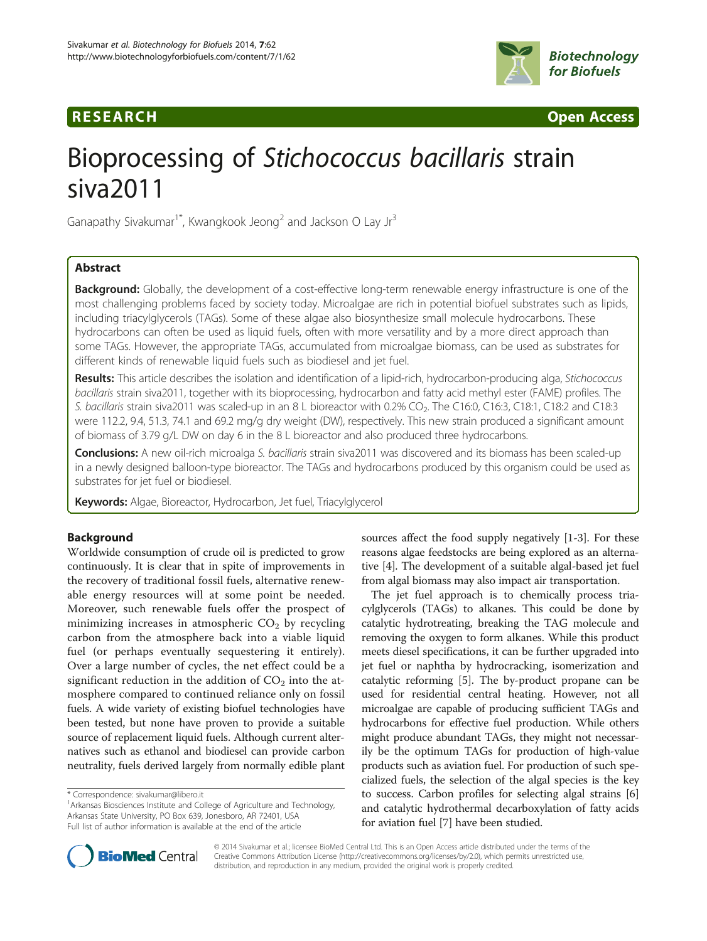# **RESEARCH RESEARCH** *CHECKER CHECKER CONTROLLER CHECKER CHECKER CHECKER CHECKER CHECKER CHECKER* **CHECKER CHECKER**



# Bioprocessing of Stichococcus bacillaris strain siva2011

Ganapathy Sivakumar<sup>1\*</sup>, Kwangkook Jeong<sup>2</sup> and Jackson O Lay Jr<sup>3</sup>

# Abstract

**Background:** Globally, the development of a cost-effective long-term renewable energy infrastructure is one of the most challenging problems faced by society today. Microalgae are rich in potential biofuel substrates such as lipids, including triacylglycerols (TAGs). Some of these algae also biosynthesize small molecule hydrocarbons. These hydrocarbons can often be used as liquid fuels, often with more versatility and by a more direct approach than some TAGs. However, the appropriate TAGs, accumulated from microalgae biomass, can be used as substrates for different kinds of renewable liquid fuels such as biodiesel and jet fuel.

Results: This article describes the isolation and identification of a lipid-rich, hydrocarbon-producing alga, Stichococcus bacillaris strain siva2011, together with its bioprocessing, hydrocarbon and fatty acid methyl ester (FAME) profiles. The S. bacillaris strain siva2011 was scaled-up in an 8 L bioreactor with 0.2% CO<sub>2</sub>. The C16:0, C16:3, C18:1, C18:2 and C18:3 were 112.2, 9.4, 51.3, 74.1 and 69.2 mg/g dry weight (DW), respectively. This new strain produced a significant amount of biomass of 3.79 g/L DW on day 6 in the 8 L bioreactor and also produced three hydrocarbons.

Conclusions: A new oil-rich microalga S. bacillaris strain siva2011 was discovered and its biomass has been scaled-up in a newly designed balloon-type bioreactor. The TAGs and hydrocarbons produced by this organism could be used as substrates for jet fuel or biodiesel.

Keywords: Algae, Bioreactor, Hydrocarbon, Jet fuel, Triacylglycerol

# Background

Worldwide consumption of crude oil is predicted to grow continuously. It is clear that in spite of improvements in the recovery of traditional fossil fuels, alternative renewable energy resources will at some point be needed. Moreover, such renewable fuels offer the prospect of minimizing increases in atmospheric  $CO<sub>2</sub>$  by recycling carbon from the atmosphere back into a viable liquid fuel (or perhaps eventually sequestering it entirely). Over a large number of cycles, the net effect could be a significant reduction in the addition of  $CO<sub>2</sub>$  into the atmosphere compared to continued reliance only on fossil fuels. A wide variety of existing biofuel technologies have been tested, but none have proven to provide a suitable source of replacement liquid fuels. Although current alternatives such as ethanol and biodiesel can provide carbon neutrality, fuels derived largely from normally edible plant

<sup>1</sup> Arkansas Biosciences Institute and College of Agriculture and Technology, Arkansas State University, PO Box 639, Jonesboro, AR 72401, USA Full list of author information is available at the end of the article



The jet fuel approach is to chemically process triacylglycerols (TAGs) to alkanes. This could be done by catalytic hydrotreating, breaking the TAG molecule and removing the oxygen to form alkanes. While this product meets diesel specifications, it can be further upgraded into jet fuel or naphtha by hydrocracking, isomerization and catalytic reforming [\[5](#page-7-0)]. The by-product propane can be used for residential central heating. However, not all microalgae are capable of producing sufficient TAGs and hydrocarbons for effective fuel production. While others might produce abundant TAGs, they might not necessarily be the optimum TAGs for production of high-value products such as aviation fuel. For production of such specialized fuels, the selection of the algal species is the key to success. Carbon profiles for selecting algal strains [[6](#page-7-0)] and catalytic hydrothermal decarboxylation of fatty acids for aviation fuel [\[7](#page-7-0)] have been studied.



© 2014 Sivakumar et al.; licensee BioMed Central Ltd. This is an Open Access article distributed under the terms of the Creative Commons Attribution License (<http://creativecommons.org/licenses/by/2.0>), which permits unrestricted use, distribution, and reproduction in any medium, provided the original work is properly credited.

<sup>\*</sup> Correspondence: [sivakumar@libero.it](mailto:sivakumar@libero.it) <sup>1</sup>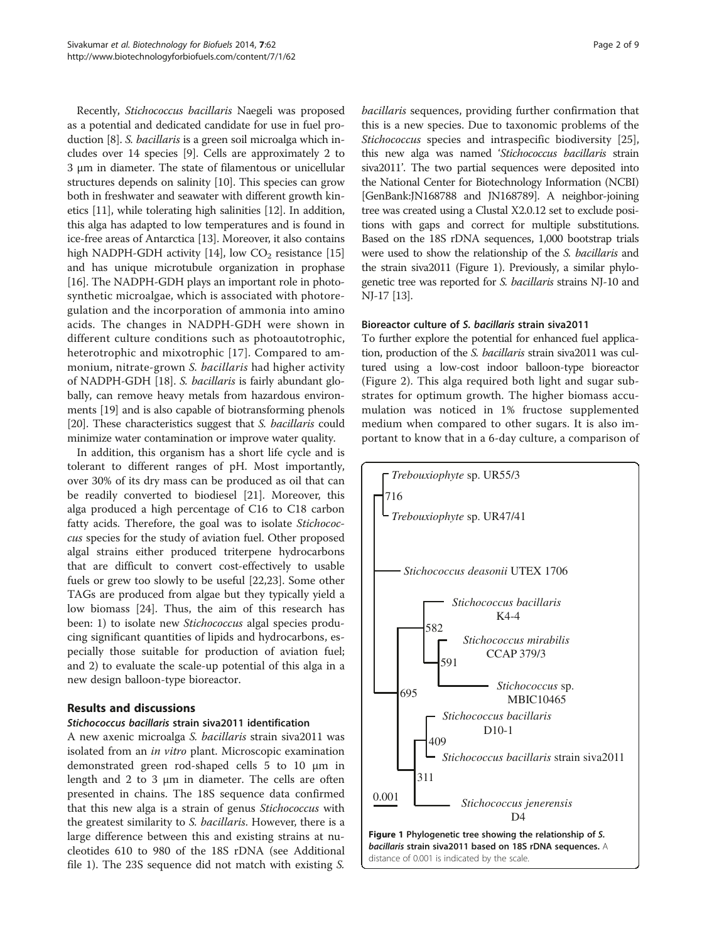Recently, Stichococcus bacillaris Naegeli was proposed as a potential and dedicated candidate for use in fuel production [\[8\]](#page-7-0). S. bacillaris is a green soil microalga which includes over 14 species [\[9](#page-7-0)]. Cells are approximately 2 to 3 μm in diameter. The state of filamentous or unicellular structures depends on salinity [[10](#page-7-0)]. This species can grow both in freshwater and seawater with different growth kinetics [[11](#page-7-0)], while tolerating high salinities [[12](#page-7-0)]. In addition, this alga has adapted to low temperatures and is found in ice-free areas of Antarctica [[13](#page-7-0)]. Moreover, it also contains high NADPH-GDH activity [\[14\]](#page-7-0), low  $CO<sub>2</sub>$  resistance [[15](#page-7-0)] and has unique microtubule organization in prophase [[16](#page-7-0)]. The NADPH-GDH plays an important role in photosynthetic microalgae, which is associated with photoregulation and the incorporation of ammonia into amino acids. The changes in NADPH-GDH were shown in different culture conditions such as photoautotrophic, heterotrophic and mixotrophic [\[17\]](#page-7-0). Compared to ammonium, nitrate-grown S. bacillaris had higher activity of NADPH-GDH [\[18](#page-7-0)]. S. bacillaris is fairly abundant globally, can remove heavy metals from hazardous environments [\[19\]](#page-7-0) and is also capable of biotransforming phenols [[20](#page-7-0)]. These characteristics suggest that S. bacillaris could minimize water contamination or improve water quality.

In addition, this organism has a short life cycle and is tolerant to different ranges of pH. Most importantly, over 30% of its dry mass can be produced as oil that can be readily converted to biodiesel [\[21](#page-7-0)]. Moreover, this alga produced a high percentage of C16 to C18 carbon fatty acids. Therefore, the goal was to isolate Stichococcus species for the study of aviation fuel. Other proposed algal strains either produced triterpene hydrocarbons that are difficult to convert cost-effectively to usable fuels or grew too slowly to be useful [[22,23\]](#page-7-0). Some other TAGs are produced from algae but they typically yield a low biomass [[24\]](#page-7-0). Thus, the aim of this research has been: 1) to isolate new *Stichococcus* algal species producing significant quantities of lipids and hydrocarbons, especially those suitable for production of aviation fuel; and 2) to evaluate the scale-up potential of this alga in a new design balloon-type bioreactor.

# Results and discussions

# Stichococcus bacillaris strain siva2011 identification

A new axenic microalga S. bacillaris strain siva2011 was isolated from an in vitro plant. Microscopic examination demonstrated green rod-shaped cells 5 to 10 μm in length and 2 to 3 μm in diameter. The cells are often presented in chains. The 18S sequence data confirmed that this new alga is a strain of genus Stichococcus with the greatest similarity to *S. bacillaris*. However, there is a large difference between this and existing strains at nucleotides 610 to 980 of the 18S rDNA (see Additional file [1](#page-6-0)). The 23S sequence did not match with existing S.

bacillaris sequences, providing further confirmation that this is a new species. Due to taxonomic problems of the Stichococcus species and intraspecific biodiversity [\[25](#page-7-0)], this new alga was named 'Stichococcus bacillaris strain siva2011'. The two partial sequences were deposited into the National Center for Biotechnology Information (NCBI) [GenBank:JN168788 and JN168789]. A neighbor-joining tree was created using a Clustal X2.0.12 set to exclude positions with gaps and correct for multiple substitutions. Based on the 18S rDNA sequences, 1,000 bootstrap trials were used to show the relationship of the S. bacillaris and the strain siva2011 (Figure 1). Previously, a similar phylogenetic tree was reported for S. bacillaris strains NJ-10 and NJ-17 [\[13\]](#page-7-0).

# Bioreactor culture of S. bacillaris strain siva2011

To further explore the potential for enhanced fuel application, production of the S. bacillaris strain siva2011 was cultured using a low-cost indoor balloon-type bioreactor (Figure [2\)](#page-2-0). This alga required both light and sugar substrates for optimum growth. The higher biomass accumulation was noticed in 1% fructose supplemented medium when compared to other sugars. It is also important to know that in a 6-day culture, a comparison of

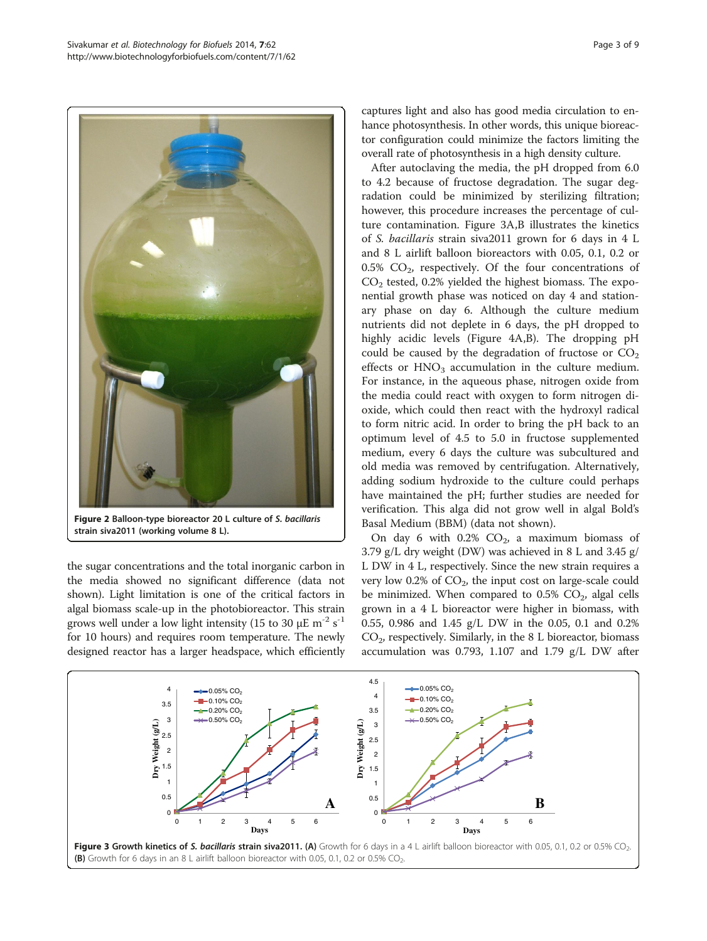<span id="page-2-0"></span>

strain siva2011 (working volume 8 L).

the sugar concentrations and the total inorganic carbon in the media showed no significant difference (data not shown). Light limitation is one of the critical factors in algal biomass scale-up in the photobioreactor. This strain grows well under a low light intensity (15 to 30  $\mu$ E m<sup>-2</sup> s<sup>-1</sup> for 10 hours) and requires room temperature. The newly designed reactor has a larger headspace, which efficiently captures light and also has good media circulation to enhance photosynthesis. In other words, this unique bioreactor configuration could minimize the factors limiting the overall rate of photosynthesis in a high density culture.

After autoclaving the media, the pH dropped from 6.0 to 4.2 because of fructose degradation. The sugar degradation could be minimized by sterilizing filtration; however, this procedure increases the percentage of culture contamination. Figure 3A,B illustrates the kinetics of S. bacillaris strain siva2011 grown for 6 days in 4 L and 8 L airlift balloon bioreactors with 0.05, 0.1, 0.2 or 0.5%  $CO<sub>2</sub>$ , respectively. Of the four concentrations of  $CO<sub>2</sub>$  tested, 0.2% yielded the highest biomass. The exponential growth phase was noticed on day 4 and stationary phase on day 6. Although the culture medium nutrients did not deplete in 6 days, the pH dropped to highly acidic levels (Figure [4A](#page-3-0),B). The dropping pH could be caused by the degradation of fructose or  $CO<sub>2</sub>$ effects or  $HNO<sub>3</sub>$  accumulation in the culture medium. For instance, in the aqueous phase, nitrogen oxide from the media could react with oxygen to form nitrogen dioxide, which could then react with the hydroxyl radical to form nitric acid. In order to bring the pH back to an optimum level of 4.5 to 5.0 in fructose supplemented medium, every 6 days the culture was subcultured and old media was removed by centrifugation. Alternatively, adding sodium hydroxide to the culture could perhaps have maintained the pH; further studies are needed for verification. This alga did not grow well in algal Bold's Basal Medium (BBM) (data not shown).

On day 6 with  $0.2\%$  CO<sub>2</sub>, a maximum biomass of 3.79 g/L dry weight (DW) was achieved in 8 L and 3.45 g/ L DW in 4 L, respectively. Since the new strain requires a very low  $0.2\%$  of  $CO<sub>2</sub>$ , the input cost on large-scale could be minimized. When compared to  $0.5\%$  CO<sub>2</sub>, algal cells grown in a 4 L bioreactor were higher in biomass, with 0.55, 0.986 and 1.45 g/L DW in the 0.05, 0.1 and 0.2%  $CO<sub>2</sub>$ , respectively. Similarly, in the 8 L bioreactor, biomass accumulation was 0.793, 1.107 and 1.79 g/L DW after

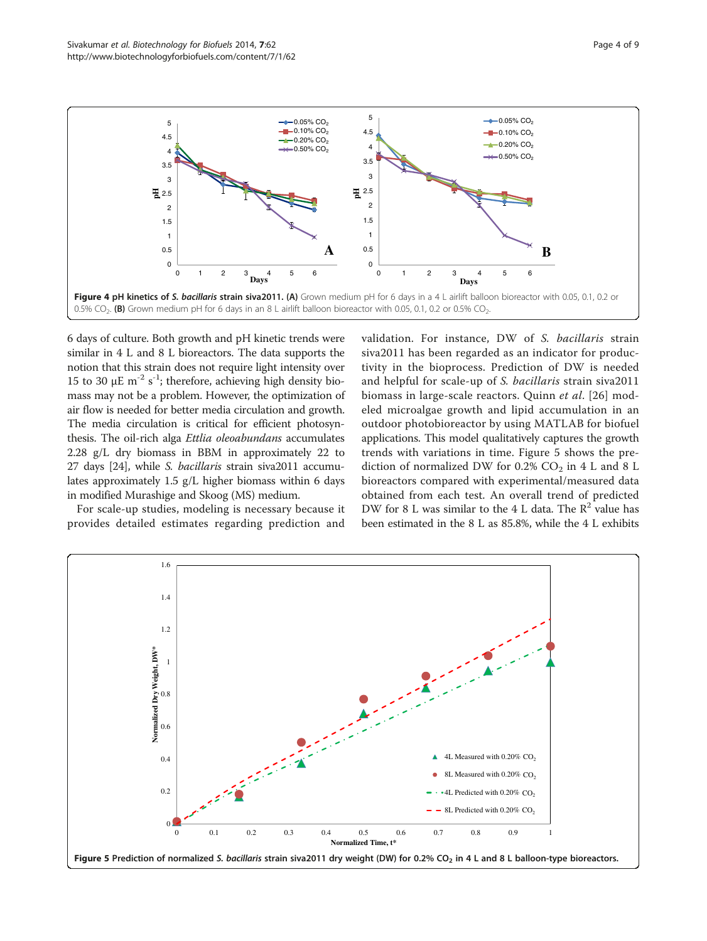<span id="page-3-0"></span>

6 days of culture. Both growth and pH kinetic trends were similar in 4 L and 8 L bioreactors. The data supports the notion that this strain does not require light intensity over 15 to 30 μE m<sup>-2</sup> s<sup>-1</sup>; therefore, achieving high density biomass may not be a problem. However, the optimization of air flow is needed for better media circulation and growth. The media circulation is critical for efficient photosynthesis. The oil-rich alga Ettlia oleoabundans accumulates 2.28 g/L dry biomass in BBM in approximately 22 to 27 days [\[24\]](#page-7-0), while S. bacillaris strain siva2011 accumulates approximately 1.5 g/L higher biomass within 6 days in modified Murashige and Skoog (MS) medium.

For scale-up studies, modeling is necessary because it provides detailed estimates regarding prediction and validation. For instance, DW of S. bacillaris strain siva2011 has been regarded as an indicator for productivity in the bioprocess. Prediction of DW is needed and helpful for scale-up of S. bacillaris strain siva2011 biomass in large-scale reactors. Quinn et al. [\[26](#page-7-0)] modeled microalgae growth and lipid accumulation in an outdoor photobioreactor by using MATLAB for biofuel applications. This model qualitatively captures the growth trends with variations in time. Figure 5 shows the prediction of normalized DW for 0.2%  $CO<sub>2</sub>$  in 4 L and 8 L bioreactors compared with experimental/measured data obtained from each test. An overall trend of predicted DW for 8 L was similar to the 4 L data. The  $\mathbb{R}^2$  value has been estimated in the 8 L as 85.8%, while the 4 L exhibits

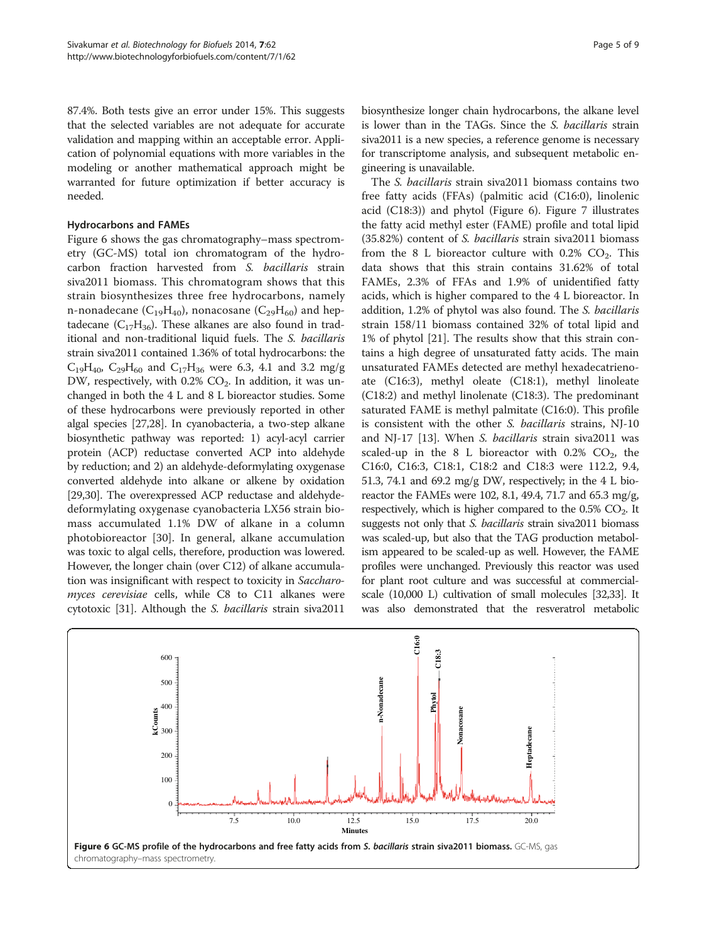87.4%. Both tests give an error under 15%. This suggests that the selected variables are not adequate for accurate validation and mapping within an acceptable error. Application of polynomial equations with more variables in the modeling or another mathematical approach might be warranted for future optimization if better accuracy is needed.

# Hydrocarbons and FAMEs

Figure 6 shows the gas chromatography–mass spectrometry (GC-MS) total ion chromatogram of the hydrocarbon fraction harvested from S. bacillaris strain siva2011 biomass. This chromatogram shows that this strain biosynthesizes three free hydrocarbons, namely n-nonadecane  $(C_{19}H_{40})$ , nonacosane  $(C_{29}H_{60})$  and heptadecane  $(C_{17}H_{36})$ . These alkanes are also found in traditional and non-traditional liquid fuels. The S. bacillaris strain siva2011 contained 1.36% of total hydrocarbons: the  $C_{19}H_{40}$ ,  $C_{29}H_{60}$  and  $C_{17}H_{36}$  were 6.3, 4.1 and 3.2 mg/g DW, respectively, with  $0.2\%$  CO<sub>2</sub>. In addition, it was unchanged in both the 4 L and 8 L bioreactor studies. Some of these hydrocarbons were previously reported in other algal species [\[27,28](#page-7-0)]. In cyanobacteria, a two-step alkane biosynthetic pathway was reported: 1) acyl-acyl carrier protein (ACP) reductase converted ACP into aldehyde by reduction; and 2) an aldehyde-deformylating oxygenase converted aldehyde into alkane or alkene by oxidation [[29,30](#page-7-0)]. The overexpressed ACP reductase and aldehydedeformylating oxygenase cyanobacteria LX56 strain biomass accumulated 1.1% DW of alkane in a column photobioreactor [[30\]](#page-7-0). In general, alkane accumulation was toxic to algal cells, therefore, production was lowered. However, the longer chain (over C12) of alkane accumulation was insignificant with respect to toxicity in Saccharomyces cerevisiae cells, while C8 to C11 alkanes were cytotoxic [\[31\]](#page-7-0). Although the S. bacillaris strain siva2011

biosynthesize longer chain hydrocarbons, the alkane level is lower than in the TAGs. Since the S. bacillaris strain siva2011 is a new species, a reference genome is necessary for transcriptome analysis, and subsequent metabolic engineering is unavailable.

The S. bacillaris strain siva2011 biomass contains two free fatty acids (FFAs) (palmitic acid (C16:0), linolenic acid (C18:3)) and phytol (Figure 6). Figure [7](#page-5-0) illustrates the fatty acid methyl ester (FAME) profile and total lipid (35.82%) content of S. bacillaris strain siva2011 biomass from the 8 L bioreactor culture with  $0.2\%$  CO<sub>2</sub>. This data shows that this strain contains 31.62% of total FAMEs, 2.3% of FFAs and 1.9% of unidentified fatty acids, which is higher compared to the 4 L bioreactor. In addition, 1.2% of phytol was also found. The S. bacillaris strain 158/11 biomass contained 32% of total lipid and 1% of phytol [\[21](#page-7-0)]. The results show that this strain contains a high degree of unsaturated fatty acids. The main unsaturated FAMEs detected are methyl hexadecatrienoate (C16:3), methyl oleate (C18:1), methyl linoleate (C18:2) and methyl linolenate (C18:3). The predominant saturated FAME is methyl palmitate (C16:0). This profile is consistent with the other S. bacillaris strains, NJ-10 and NJ-17 [\[13](#page-7-0)]. When S. bacillaris strain siva2011 was scaled-up in the 8 L bioreactor with  $0.2\%$  CO<sub>2</sub>, the C16:0, C16:3, C18:1, C18:2 and C18:3 were 112.2, 9.4, 51.3, 74.1 and 69.2 mg/g DW, respectively; in the 4 L bioreactor the FAMEs were 102, 8.1, 49.4, 71.7 and 65.3 mg/g, respectively, which is higher compared to the  $0.5\%$  CO<sub>2</sub>. It suggests not only that S. *bacillaris* strain siva2011 biomass was scaled-up, but also that the TAG production metabolism appeared to be scaled-up as well. However, the FAME profiles were unchanged. Previously this reactor was used for plant root culture and was successful at commercialscale (10,000 L) cultivation of small molecules [\[32,33\]](#page-7-0). It was also demonstrated that the resveratrol metabolic

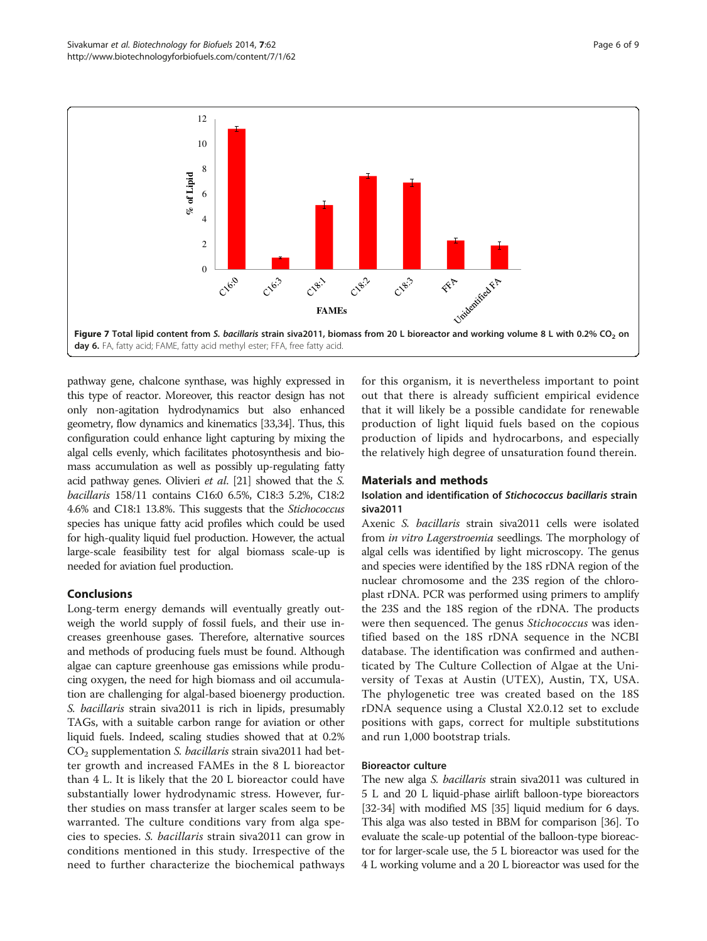<span id="page-5-0"></span>

pathway gene, chalcone synthase, was highly expressed in this type of reactor. Moreover, this reactor design has not only non-agitation hydrodynamics but also enhanced geometry, flow dynamics and kinematics [\[33,](#page-7-0)[34](#page-8-0)]. Thus, this configuration could enhance light capturing by mixing the algal cells evenly, which facilitates photosynthesis and biomass accumulation as well as possibly up-regulating fatty acid pathway genes. Olivieri et al. [\[21\]](#page-7-0) showed that the S. bacillaris 158/11 contains C16:0 6.5%, C18:3 5.2%, C18:2 4.6% and C18:1 13.8%. This suggests that the Stichococcus species has unique fatty acid profiles which could be used for high-quality liquid fuel production. However, the actual large-scale feasibility test for algal biomass scale-up is needed for aviation fuel production.

# Conclusions

Long-term energy demands will eventually greatly outweigh the world supply of fossil fuels, and their use increases greenhouse gases. Therefore, alternative sources and methods of producing fuels must be found. Although algae can capture greenhouse gas emissions while producing oxygen, the need for high biomass and oil accumulation are challenging for algal-based bioenergy production. S. bacillaris strain siva2011 is rich in lipids, presumably TAGs, with a suitable carbon range for aviation or other liquid fuels. Indeed, scaling studies showed that at 0.2%  $CO<sub>2</sub>$  supplementation S. bacillaris strain siva 2011 had better growth and increased FAMEs in the 8 L bioreactor than 4 L. It is likely that the 20 L bioreactor could have substantially lower hydrodynamic stress. However, further studies on mass transfer at larger scales seem to be warranted. The culture conditions vary from alga species to species. S. bacillaris strain siva2011 can grow in conditions mentioned in this study. Irrespective of the need to further characterize the biochemical pathways for this organism, it is nevertheless important to point out that there is already sufficient empirical evidence that it will likely be a possible candidate for renewable production of light liquid fuels based on the copious production of lipids and hydrocarbons, and especially the relatively high degree of unsaturation found therein.

# Materials and methods

# Isolation and identification of Stichococcus bacillaris strain siva2011

Axenic S. bacillaris strain siva2011 cells were isolated from in vitro Lagerstroemia seedlings. The morphology of algal cells was identified by light microscopy. The genus and species were identified by the 18S rDNA region of the nuclear chromosome and the 23S region of the chloroplast rDNA. PCR was performed using primers to amplify the 23S and the 18S region of the rDNA. The products were then sequenced. The genus *Stichococcus* was identified based on the 18S rDNA sequence in the NCBI database. The identification was confirmed and authenticated by The Culture Collection of Algae at the University of Texas at Austin (UTEX), Austin, TX, USA. The phylogenetic tree was created based on the 18S rDNA sequence using a Clustal X2.0.12 set to exclude positions with gaps, correct for multiple substitutions and run 1,000 bootstrap trials.

# Bioreactor culture

The new alga S. bacillaris strain siva2011 was cultured in 5 L and 20 L liquid-phase airlift balloon-type bioreactors [[32](#page-7-0)-[34](#page-8-0)] with modified MS [\[35](#page-8-0)] liquid medium for 6 days. This alga was also tested in BBM for comparison [\[36\]](#page-8-0). To evaluate the scale-up potential of the balloon-type bioreactor for larger-scale use, the 5 L bioreactor was used for the 4 L working volume and a 20 L bioreactor was used for the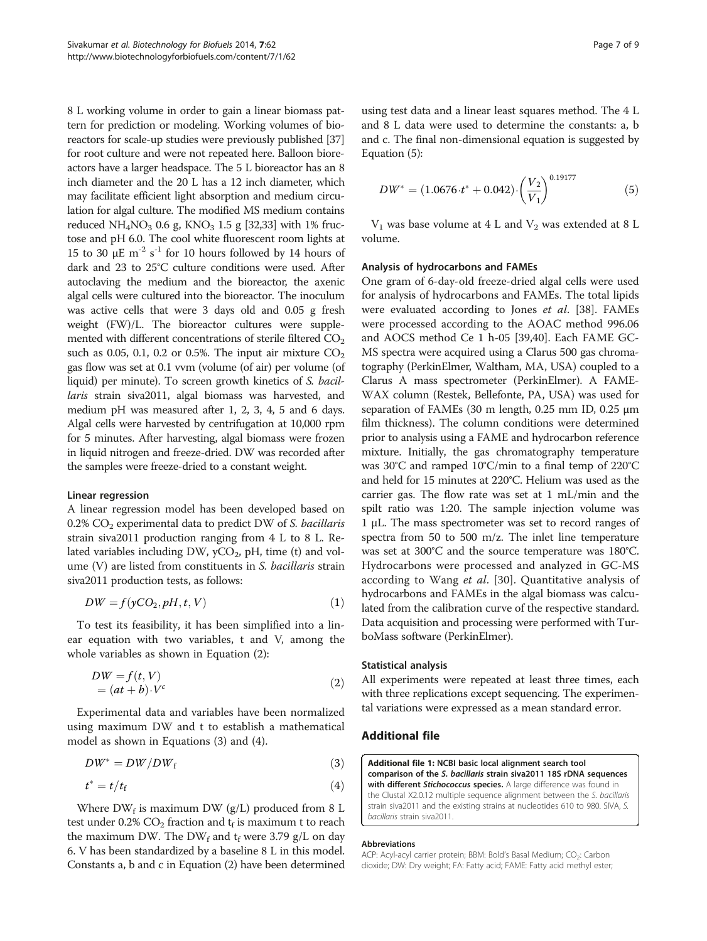<span id="page-6-0"></span>8 L working volume in order to gain a linear biomass pattern for prediction or modeling. Working volumes of bioreactors for scale-up studies were previously published [\[37](#page-8-0)] for root culture and were not repeated here. Balloon bioreactors have a larger headspace. The 5 L bioreactor has an 8 inch diameter and the 20 L has a 12 inch diameter, which may facilitate efficient light absorption and medium circulation for algal culture. The modified MS medium contains reduced NH<sub>4</sub>NO<sub>3</sub> 0.6 g, KNO<sub>3</sub> 1.5 g [\[32,33](#page-7-0)] with 1% fructose and pH 6.0. The cool white fluorescent room lights at 15 to 30  $\mu$ E m<sup>-2</sup> s<sup>-1</sup> for 10 hours followed by 14 hours of dark and 23 to 25°C culture conditions were used. After autoclaving the medium and the bioreactor, the axenic algal cells were cultured into the bioreactor. The inoculum was active cells that were 3 days old and 0.05 g fresh weight (FW)/L. The bioreactor cultures were supplemented with different concentrations of sterile filtered  $CO<sub>2</sub>$ such as 0.05, 0.1, 0.2 or 0.5%. The input air mixture  $CO<sub>2</sub>$ gas flow was set at 0.1 vvm (volume (of air) per volume (of liquid) per minute). To screen growth kinetics of S. bacillaris strain siva2011, algal biomass was harvested, and medium pH was measured after 1, 2, 3, 4, 5 and 6 days. Algal cells were harvested by centrifugation at 10,000 rpm for 5 minutes. After harvesting, algal biomass were frozen in liquid nitrogen and freeze-dried. DW was recorded after the samples were freeze-dried to a constant weight.

# Linear regression

A linear regression model has been developed based on  $0.2\%$  CO<sub>2</sub> experimental data to predict DW of S. bacillaris strain siva2011 production ranging from 4 L to 8 L. Related variables including DW,  $yCO<sub>2</sub>$ , pH, time (t) and volume (V) are listed from constituents in S. bacillaris strain siva2011 production tests, as follows:

$$
DW = f(yCO_2, pH, t, V) \tag{1}
$$

To test its feasibility, it has been simplified into a linear equation with two variables, t and V, among the whole variables as shown in Equation (2):

$$
DW = f(t, V)
$$
  
=  $(at + b) \cdot V^c$  (2)

Experimental data and variables have been normalized using maximum DW and t to establish a mathematical model as shown in Equations (3) and (4).

$$
DW^* = DW/DW_f \tag{3}
$$

$$
t^* = t/t_f \tag{4}
$$

Where  $DW_f$  is maximum DW (g/L) produced from 8 L test under 0.2%  $CO_2$  fraction and  $t_f$  is maximum t to reach the maximum DW. The DW<sub>f</sub> and  $t_f$  were 3.79 g/L on day 6. V has been standardized by a baseline 8 L in this model. Constants a, b and c in Equation (2) have been determined

using test data and a linear least squares method. The 4 L and 8 L data were used to determine the constants: a, b and c. The final non-dimensional equation is suggested by Equation (5):

$$
DW^* = (1.0676 \cdot t^* + 0.042) \cdot \left(\frac{V_2}{V_1}\right)^{0.19177} \tag{5}
$$

 $V_1$  was base volume at 4 L and  $V_2$  was extended at 8 L volume.

#### Analysis of hydrocarbons and FAMEs

One gram of 6-day-old freeze-dried algal cells were used for analysis of hydrocarbons and FAMEs. The total lipids were evaluated according to Jones et al. [\[38\]](#page-8-0). FAMEs were processed according to the AOAC method 996.06 and AOCS method Ce 1 h-05 [[39,40\]](#page-8-0). Each FAME GC-MS spectra were acquired using a Clarus 500 gas chromatography (PerkinElmer, Waltham, MA, USA) coupled to a Clarus A mass spectrometer (PerkinElmer). A FAME-WAX column (Restek, Bellefonte, PA, USA) was used for separation of FAMEs (30 m length, 0.25 mm ID, 0.25 μm film thickness). The column conditions were determined prior to analysis using a FAME and hydrocarbon reference mixture. Initially, the gas chromatography temperature was 30°C and ramped 10°C/min to a final temp of 220°C and held for 15 minutes at 220°C. Helium was used as the carrier gas. The flow rate was set at 1 mL/min and the spilt ratio was 1:20. The sample injection volume was 1 μL. The mass spectrometer was set to record ranges of spectra from 50 to 500 m/z. The inlet line temperature was set at 300°C and the source temperature was 180°C. Hydrocarbons were processed and analyzed in GC-MS according to Wang et al. [\[30](#page-7-0)]. Quantitative analysis of hydrocarbons and FAMEs in the algal biomass was calculated from the calibration curve of the respective standard. Data acquisition and processing were performed with TurboMass software (PerkinElmer).

# Statistical analysis

All experiments were repeated at least three times, each with three replications except sequencing. The experimental variations were expressed as a mean standard error.

# Additional file

[Additional file 1:](http://www.biomedcentral.com/content/supplementary/1754-6834-7-62-S1.pdf) NCBI basic local alignment search tool comparison of the S. bacillaris strain siva2011 18S rDNA sequences with different Stichococcus species. A large difference was found in the Clustal X2.0.12 multiple sequence alignment between the S. bacillaris strain siva2011 and the existing strains at nucleotides 610 to 980. SIVA, S. bacillaris strain siva2011.

#### Abbreviations

ACP: Acyl-acyl carrier protein; BBM: Bold's Basal Medium; CO<sub>2</sub>: Carbon dioxide; DW: Dry weight; FA: Fatty acid; FAME: Fatty acid methyl ester;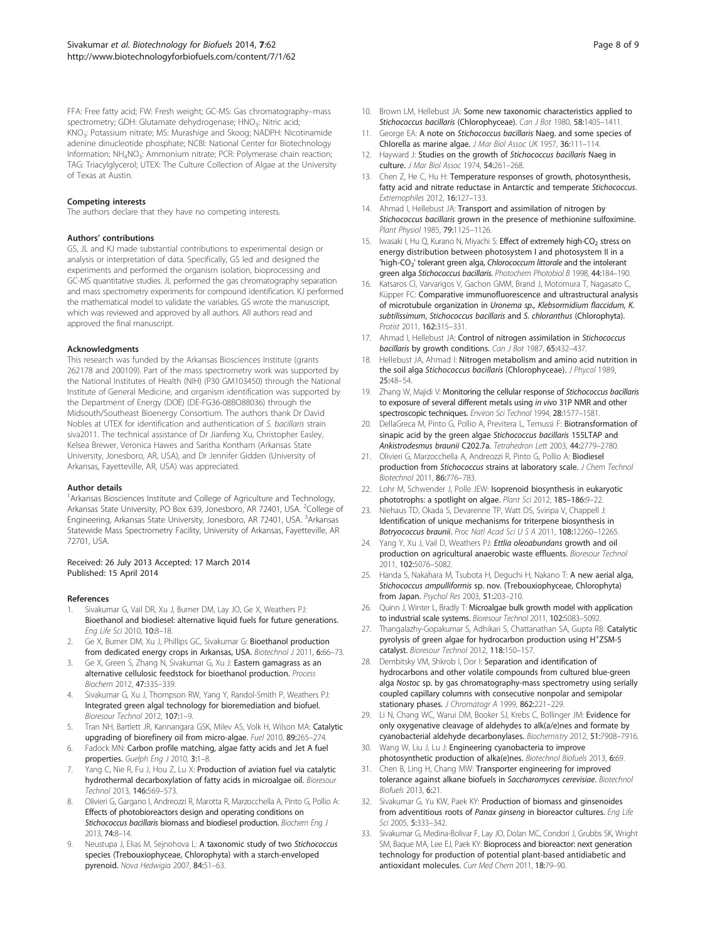<span id="page-7-0"></span>FFA: Free fatty acid; FW: Fresh weight; GC-MS: Gas chromatography–mass spectrometry; GDH: Glutamate dehydrogenase; HNO<sub>3</sub>: Nitric acid; KNO3: Potassium nitrate; MS: Murashige and Skoog; NADPH: Nicotinamide adenine dinucleotide phosphate; NCBI: National Center for Biotechnology Information; NH<sub>4</sub>NO<sub>3</sub>: Ammonium nitrate; PCR: Polymerase chain reaction; TAG: Triacylglycerol; UTEX: The Culture Collection of Algae at the University of Texas at Austin.

#### Competing interests

The authors declare that they have no competing interests.

#### Authors' contributions

GS, JL and KJ made substantial contributions to experimental design or analysis or interpretation of data. Specifically, GS led and designed the experiments and performed the organism isolation, bioprocessing and GC-MS quantitative studies. JL performed the gas chromatography separation and mass spectrometry experiments for compound identification. KJ performed the mathematical model to validate the variables. GS wrote the manuscript, which was reviewed and approved by all authors. All authors read and approved the final manuscript.

#### Acknowledgments

This research was funded by the Arkansas Biosciences Institute (grants 262178 and 200109). Part of the mass spectrometry work was supported by the National Institutes of Health (NIH) (P30 GM103450) through the National Institute of General Medicine, and organism identification was supported by the Department of Energy (DOE) (DE-FG36-08BO88036) through the Midsouth/Southeast Bioenergy Consortium. The authors thank Dr David Nobles at UTEX for identification and authentication of S. bacillaris strain siva2011. The technical assistance of Dr Jianfeng Xu, Christopher Easley, Kelsea Brewer, Veronica Hawes and Saritha Kontham (Arkansas State University, Jonesboro, AR, USA), and Dr Jennifer Gidden (University of Arkansas, Fayetteville, AR, USA) was appreciated.

#### Author details

<sup>1</sup> Arkansas Biosciences Institute and College of Agriculture and Technology, Arkansas State University, PO Box 639, Jonesboro, AR 72401, USA. <sup>2</sup>College of Engineering, Arkansas State University, Jonesboro, AR 72401, USA. <sup>3</sup>Arkansas Statewide Mass Spectrometry Facility, University of Arkansas, Fayetteville, AR 72701, USA.

#### Received: 26 July 2013 Accepted: 17 March 2014 Published: 15 April 2014

#### References

- 1. Sivakumar G, Vail DR, Xu J, Burner DM, Lay JO, Ge X, Weathers PJ: Bioethanol and biodiesel: alternative liquid fuels for future generations. Eng Life Sci 2010, 10:8–18.
- 2. Ge X, Burner DM, Xu J, Phillips GC, Sivakumar G: Bioethanol production from dedicated energy crops in Arkansas, USA. Biotechnol J 2011, 6:66-73.
- Ge X, Green S, Zhang N, Sivakumar G, Xu J: Eastern gamagrass as an alternative cellulosic feedstock for bioethanol production. Process Biochem 2012, 47:335–339.
- 4. Sivakumar G, Xu J, Thompson RW, Yang Y, Randol-Smith P, Weathers PJ: Integrated green algal technology for bioremediation and biofuel. Bioresour Technol 2012, 107:1–9.
- Tran NH, Bartlett JR, Kannangara GSK, Milev AS, Volk H, Wilson MA: Catalytic upgrading of biorefinery oil from micro-algae. Fuel 2010, 89:265–274.
- 6. Fadock MN: Carbon profile matching, algae fatty acids and Jet A fuel properties. Guelph Eng J 2010, 3:1-8.
- 7. Yang C, Nie R, Fu J, Hou Z, Lu X: Production of aviation fuel via catalytic hydrothermal decarboxylation of fatty acids in microalgae oil. Bioresour Technol 2013, 146:569–573.
- 8. Olivieri G, Gargano I, Andreozzi R, Marotta R, Marzocchella A, Pinto G, Pollio A: Effects of photobioreactors design and operating conditions on Stichococcus bacillaris biomass and biodiesel production. Biochem Eng J 2013, 74:8–14.
- Neustupa J, Elias M, Sejnohova L: A taxonomic study of two Stichococcus species (Trebouxiophyceae, Chlorophyta) with a starch-enveloped pyrenoid. Nova Hedwigia 2007, 84:51–63.
- 10. Brown LM, Hellebust JA: Some new taxonomic characteristics applied to Stichococcus bacillaris (Chlorophyceae). Can J Bot 1980, 58:1405-1411.
- 11. George EA: A note on Stichococcus bacillaris Naeg. and some species of Chlorella as marine algae. J Mar Biol Assoc UK 1957, 36:111–114.
- 12. Hayward J: Studies on the growth of Stichococcus bacillaris Naeg in culture. J Mar Biol Assoc 1974, 54:261–268.
- 13. Chen Z, He C, Hu H: Temperature responses of growth, photosynthesis, fatty acid and nitrate reductase in Antarctic and temperate Stichococcus. Extremophiles 2012, 16:127–133.
- 14. Ahmad I, Hellebust JA: Transport and assimilation of nitrogen by Stichococcus bacillaris grown in the presence of methionine sulfoximine. Plant Physiol 1985, 79:1125–1126.
- 15. Iwasaki I, Hu Q, Kurano N, Miyachi S: Effect of extremely high-CO<sub>2</sub> stress on energy distribution between photosystem I and photosystem II in a 'high-CO<sub>2</sub>' tolerant green alga, Chlorococcum littorale and the intolerant green alga Stichococcus bacillaris. Photochem Photobiol B 1998, 44:184-190.
- 16. Katsaros CI, Varvarigos V, Gachon GMM, Brand J, Motomura T, Nagasato C, Küpper FC: Comparative immunofluorescence and ultrastructural analysis of microtubule organization in Uronema sp., Klebsormidium flaccidum, K. subtilissimum, Stichococcus bacillaris and S. chloranthus (Chlorophyta). Protist 2011, 162:315–331.
- 17. Ahmad I, Hellebust JA: Control of nitrogen assimilation in Stichococcus bacillaris by growth conditions. Can J Bot 1987, 65:432-437.
- 18. Hellebust JA, Ahmad I: Nitrogen metabolism and amino acid nutrition in the soil alga Stichococcus bacillaris (Chlorophyceae). J Phycol 1989, 25:48–54.
- 19. Zhang W, Majidi V: Monitoring the cellular response of Stichococcus bacillaris to exposure of several different metals using in vivo 31P NMR and other spectroscopic techniques. Environ Sci Technol 1994, 28:1577–1581.
- 20. DellaGreca M, Pinto G, Pollio A, Previtera L, Temussi F: Biotransformation of sinapic acid by the green algae Stichococcus bacillaris 155LTAP and Ankistrodesmus braunii C202.7a. Tetrahedron Lett 2003, 44:2779–2780.
- 21. Olivieri G, Marzocchella A, Andreozzi R, Pinto G, Pollio A: Biodiesel production from Stichococcus strains at laboratory scale. J Chem Technol Biotechnol 2011, 86:776–783.
- 22. Lohr M, Schwender J, Polle JEW: Isoprenoid biosynthesis in eukaryotic phototrophs: a spotlight on algae. Plant Sci 2012, 185–186:9–22.
- 23. Niehaus TD, Okada S, Devarenne TP, Watt DS, Sviripa V, Chappell J: Identification of unique mechanisms for triterpene biosynthesis in Botryococcus braunii. Proc Natl Acad Sci U S A 2011, 108:12260-12265.
- 24. Yang Y, Xu J, Vail D, Weathers PJ: Ettlia oleoabundans growth and oil production on agricultural anaerobic waste effluents. Bioresour Technol 2011, 102:5076–5082.
- 25. Handa S, Nakahara M, Tsubota H, Deguchi H, Nakano T: A new aerial alga, Stichococcus ampulliformis sp. nov. (Trebouxiophyceae, Chlorophyta) from Japan. Psychol Res 2003, 51:203–210.
- Quinn J, Winter L, Bradly T: Microalgae bulk growth model with application to industrial scale systems. Bioresour Technol 2011, 102:5083–5092.
- 27. Thangalazhy-Gopakumar S, Adhikari S, Chattanathan SA, Gupta RB: Catalytic pyrolysis of green algae for hydrocarbon production using H<sup>+</sup>ZSM-5 catalyst. Bioresour Technol 2012, 118:150–157.
- 28. Dembitsky VM, Shkrob I, Dor I: Separation and identification of hydrocarbons and other volatile compounds from cultured blue-green alga Nostoc sp. by gas chromatography-mass spectrometry using serially coupled capillary columns with consecutive nonpolar and semipolar stationary phases. J Chromatogr A 1999, 862:221-229.
- 29. Li N, Chang WC, Warui DM, Booker SJ, Krebs C, Bollinger JM: Evidence for only oxygenative cleavage of aldehydes to alk(a/e)nes and formate by cyanobacterial aldehyde decarbonylases. Biochemistry 2012, 51:7908–7916.
- 30. Wang W, Liu J, Lu J: Engineering cyanobacteria to improve photosynthetic production of alka(e)nes. Biotechnol Biofuels 2013, 6:69.
- 31. Chen B, Ling H, Chang MW: Transporter engineering for improved tolerance against alkane biofuels in Saccharomyces cerevisiae. Biotechnol Biofuels 2013, 6:21.
- 32. Sivakumar G, Yu KW, Paek KY: Production of biomass and ginsenoides from adventitious roots of Panax ginseng in bioreactor cultures. Eng Life Sci 2005, 5:333–342.
- Sivakumar G, Medina-Bolivar F, Lay JO, Dolan MC, Condori J, Grubbs SK, Wright SM, Baque MA, Lee EJ, Paek KY: Bioprocess and bioreactor: next generation technology for production of potential plant-based antidiabetic and antioxidant molecules. Curr Med Chem 2011, 18:79–90.